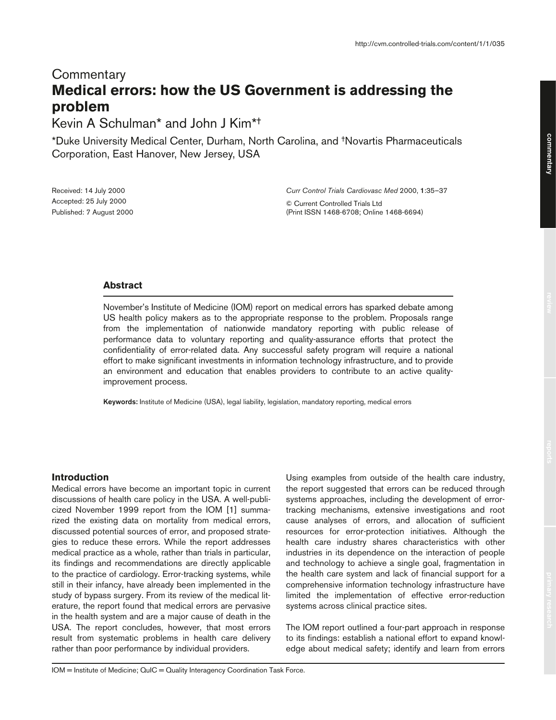# **Commentary Medical errors: how the US Government is addressing the problem**

Kevin A Schulman\* and John J Kim\*†

\*Duke University Medical Center, Durham, North Carolina, and †Novartis Pharmaceuticals Corporation, East Hanover, New Jersey, USA

Received: 14 July 2000 Accepted: 25 July 2000 Published: 7 August 2000 *Curr Control Trials Cardiovasc Med* 2000, **1**:35–37

© Current Controlled Trials Ltd (Print ISSN 1468-6708; Online 1468-6694)

# **Abstract**

November's Institute of Medicine (IOM) report on medical errors has sparked debate among US health policy makers as to the appropriate response to the problem. Proposals range from the implementation of nationwide mandatory reporting with public release of performance data to voluntary reporting and quality-assurance efforts that protect the confidentiality of error-related data. Any successful safety program will require a national effort to make significant investments in information technology infrastructure, and to provide an environment and education that enables providers to contribute to an active qualityimprovement process.

**Keywords:** Institute of Medicine (USA), legal liability, legislation, mandatory reporting, medical errors

## **Introduction**

Medical errors have become an important topic in current discussions of health care policy in the USA. A well-publicized November 1999 report from the IOM [1] summarized the existing data on mortality from medical errors, discussed potential sources of error, and proposed strategies to reduce these errors. While the report addresses medical practice as a whole, rather than trials in particular, its findings and recommendations are directly applicable to the practice of cardiology. Error-tracking systems, while still in their infancy, have already been implemented in the study of bypass surgery. From its review of the medical literature, the report found that medical errors are pervasive in the health system and are a major cause of death in the USA. The report concludes, however, that most errors result from systematic problems in health care delivery rather than poor performance by individual providers.

Using examples from outside of the health care industry, the report suggested that errors can be reduced through systems approaches, including the development of errortracking mechanisms, extensive investigations and root cause analyses of errors, and allocation of sufficient resources for error-protection initiatives. Although the health care industry shares characteristics with other industries in its dependence on the interaction of people and technology to achieve a single goal, fragmentation in the health care system and lack of financial support for a comprehensive information technology infrastructure have limited the implementation of effective error-reduction systems across clinical practice sites.

The IOM report outlined a four-part approach in response to its findings: establish a national effort to expand knowledge about medical safety; identify and learn from errors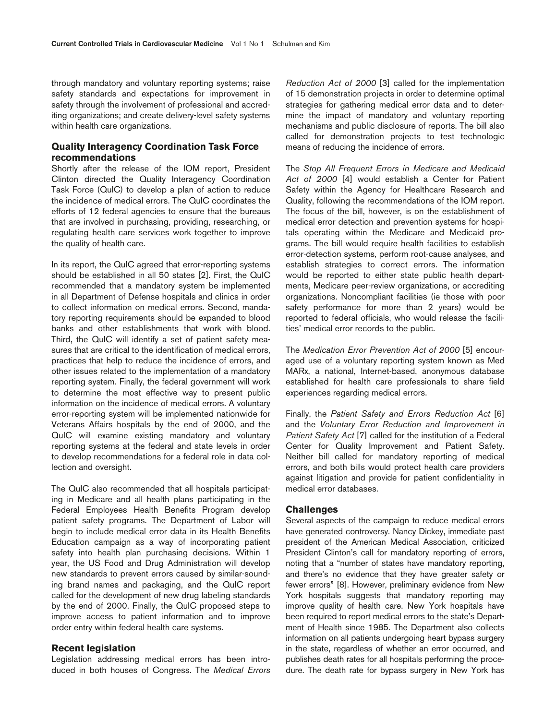through mandatory and voluntary reporting systems; raise safety standards and expectations for improvement in safety through the involvement of professional and accrediting organizations; and create delivery-level safety systems within health care organizations.

# **Quality Interagency Coordination Task Force recommendations**

Shortly after the release of the IOM report, President Clinton directed the Quality Interagency Coordination Task Force (QuIC) to develop a plan of action to reduce the incidence of medical errors. The QuIC coordinates the efforts of 12 federal agencies to ensure that the bureaus that are involved in purchasing, providing, researching, or regulating health care services work together to improve the quality of health care.

In its report, the QuIC agreed that error-reporting systems should be established in all 50 states [2]. First, the QuIC recommended that a mandatory system be implemented in all Department of Defense hospitals and clinics in order to collect information on medical errors. Second, mandatory reporting requirements should be expanded to blood banks and other establishments that work with blood. Third, the QuIC will identify a set of patient safety measures that are critical to the identification of medical errors, practices that help to reduce the incidence of errors, and other issues related to the implementation of a mandatory reporting system. Finally, the federal government will work to determine the most effective way to present public information on the incidence of medical errors. A voluntary error-reporting system will be implemented nationwide for Veterans Affairs hospitals by the end of 2000, and the QuIC will examine existing mandatory and voluntary reporting systems at the federal and state levels in order to develop recommendations for a federal role in data collection and oversight.

The QuIC also recommended that all hospitals participating in Medicare and all health plans participating in the Federal Employees Health Benefits Program develop patient safety programs. The Department of Labor will begin to include medical error data in its Health Benefits Education campaign as a way of incorporating patient safety into health plan purchasing decisions. Within 1 year, the US Food and Drug Administration will develop new standards to prevent errors caused by similar-sounding brand names and packaging, and the QuIC report called for the development of new drug labeling standards by the end of 2000. Finally, the QuIC proposed steps to improve access to patient information and to improve order entry within federal health care systems.

# **Recent legislation**

Legislation addressing medical errors has been introduced in both houses of Congress. The *Medical Errors* *Reduction Act of 2000* [3] called for the implementation of 15 demonstration projects in order to determine optimal strategies for gathering medical error data and to determine the impact of mandatory and voluntary reporting mechanisms and public disclosure of reports. The bill also called for demonstration projects to test technologic means of reducing the incidence of errors.

The *Stop All Frequent Errors in Medicare and Medicaid Act of 2000* [4] would establish a Center for Patient Safety within the Agency for Healthcare Research and Quality, following the recommendations of the IOM report. The focus of the bill, however, is on the establishment of medical error detection and prevention systems for hospitals operating within the Medicare and Medicaid programs. The bill would require health facilities to establish error-detection systems, perform root-cause analyses, and establish strategies to correct errors. The information would be reported to either state public health departments, Medicare peer-review organizations, or accrediting organizations. Noncompliant facilities (ie those with poor safety performance for more than 2 years) would be reported to federal officials, who would release the facilities' medical error records to the public.

The *Medication Error Prevention Act of 2000* [5] encouraged use of a voluntary reporting system known as Med MARx, a national, Internet-based, anonymous database established for health care professionals to share field experiences regarding medical errors.

Finally, the *Patient Safety and Errors Reduction Act* [6] and the *Voluntary Error Reduction and Improvement in Patient Safety Act* [7] called for the institution of a Federal Center for Quality Improvement and Patient Safety. Neither bill called for mandatory reporting of medical errors, and both bills would protect health care providers against litigation and provide for patient confidentiality in medical error databases.

## **Challenges**

Several aspects of the campaign to reduce medical errors have generated controversy. Nancy Dickey, immediate past president of the American Medical Association, criticized President Clinton's call for mandatory reporting of errors, noting that a "number of states have mandatory reporting, and there's no evidence that they have greater safety or fewer errors" [8]. However, preliminary evidence from New York hospitals suggests that mandatory reporting may improve quality of health care. New York hospitals have been required to report medical errors to the state's Department of Health since 1985. The Department also collects information on all patients undergoing heart bypass surgery in the state, regardless of whether an error occurred, and publishes death rates for all hospitals performing the procedure. The death rate for bypass surgery in New York has